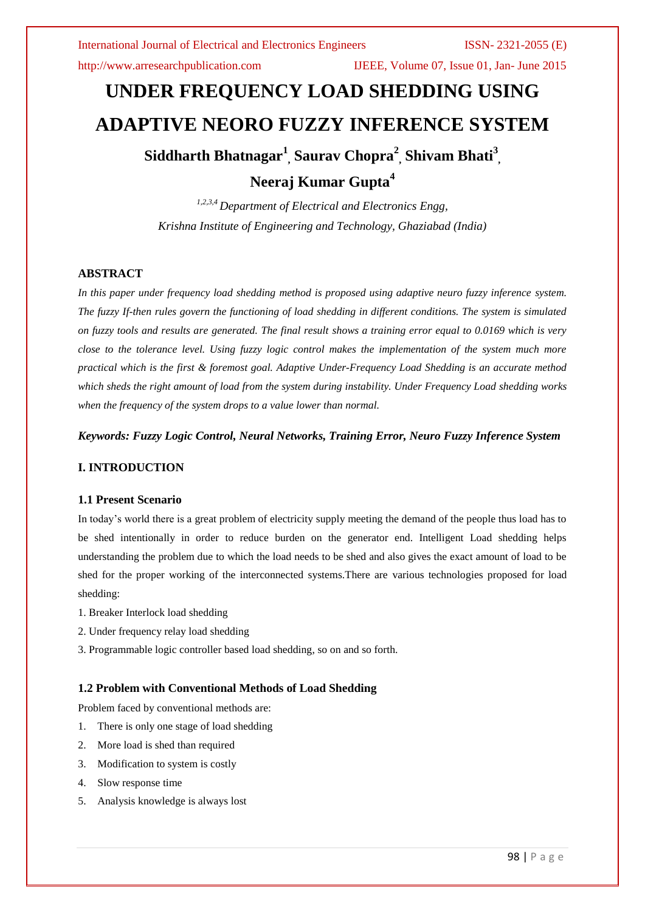http://www.arresearchpublication.com IJEEE, Volume 07, Issue 01, Jan- June 2015

# **UNDER FREQUENCY LOAD SHEDDING USING ADAPTIVE NEORO FUZZY INFERENCE SYSTEM Siddharth Bhatnagar<sup>1</sup> , Saurav Chopra<sup>2</sup> , Shivam Bhati<sup>3</sup> , Neeraj Kumar Gupta<sup>4</sup>**

*1,2,3,4 Department of Electrical and Electronics Engg, Krishna Institute of Engineering and Technology, Ghaziabad (India)*

# **ABSTRACT**

*In this paper under frequency load shedding method is proposed using adaptive neuro fuzzy inference system. The fuzzy If-then rules govern the functioning of load shedding in different conditions. The system is simulated on fuzzy tools and results are generated. The final result shows a training error equal to 0.0169 which is very close to the tolerance level. Using fuzzy logic control makes the implementation of the system much more practical which is the first & foremost goal. Adaptive Under-Frequency Load Shedding is an accurate method which sheds the right amount of load from the system during instability. Under Frequency Load shedding works when the frequency of the system drops to a value lower than normal.*

*Keywords: Fuzzy Logic Control, Neural Networks, Training Error, Neuro Fuzzy Inference System*

# **I. INTRODUCTION**

#### **1.1 Present Scenario**

In today's world there is a great problem of electricity supply meeting the demand of the people thus load has to be shed intentionally in order to reduce burden on the generator end. Intelligent Load shedding helps understanding the problem due to which the load needs to be shed and also gives the exact amount of load to be shed for the proper working of the interconnected systems.There are various technologies proposed for load shedding:

- 1. Breaker Interlock load shedding
- 2. Under frequency relay load shedding
- 3. Programmable logic controller based load shedding, so on and so forth.

### **1.2 Problem with Conventional Methods of Load Shedding**

Problem faced by conventional methods are:

- 1. There is only one stage of load shedding
- 2. More load is shed than required
- 3. Modification to system is costly
- 4. Slow response time
- 5. Analysis knowledge is always lost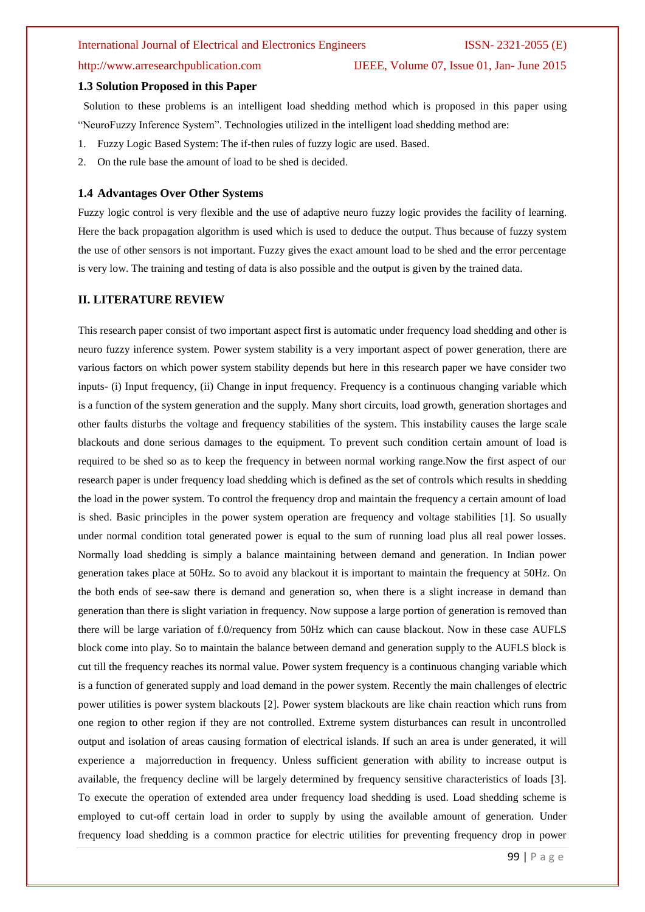#### **1.3 Solution Proposed in this Paper**

Solution to these problems is an intelligent load shedding method which is proposed in this paper using "NeuroFuzzy Inference System". Technologies utilized in the intelligent load shedding method are:

- 1. Fuzzy Logic Based System: The if-then rules of fuzzy logic are used. Based.
- 2. On the rule base the amount of load to be shed is decided.

#### **1.4 Advantages Over Other Systems**

Fuzzy logic control is very flexible and the use of adaptive neuro fuzzy logic provides the facility of learning. Here the back propagation algorithm is used which is used to deduce the output. Thus because of fuzzy system the use of other sensors is not important. Fuzzy gives the exact amount load to be shed and the error percentage is very low. The training and testing of data is also possible and the output is given by the trained data.

#### **II. LITERATURE REVIEW**

This research paper consist of two important aspect first is automatic under frequency load shedding and other is neuro fuzzy inference system. Power system stability is a very important aspect of power generation, there are various factors on which power system stability depends but here in this research paper we have consider two inputs- (i) Input frequency, (ii) Change in input frequency. Frequency is a continuous changing variable which is a function of the system generation and the supply. Many short circuits, load growth, generation shortages and other faults disturbs the voltage and frequency stabilities of the system. This instability causes the large scale blackouts and done serious damages to the equipment. To prevent such condition certain amount of load is required to be shed so as to keep the frequency in between normal working range.Now the first aspect of our research paper is under frequency load shedding which is defined as the set of controls which results in shedding the load in the power system. To control the frequency drop and maintain the frequency a certain amount of load is shed. Basic principles in the power system operation are frequency and voltage stabilities [1]. So usually under normal condition total generated power is equal to the sum of running load plus all real power losses. Normally load shedding is simply a balance maintaining between demand and generation. In Indian power generation takes place at 50Hz. So to avoid any blackout it is important to maintain the frequency at 50Hz. On the both ends of see-saw there is demand and generation so, when there is a slight increase in demand than generation than there is slight variation in frequency. Now suppose a large portion of generation is removed than there will be large variation of f.0/requency from 50Hz which can cause blackout. Now in these case AUFLS block come into play. So to maintain the balance between demand and generation supply to the AUFLS block is cut till the frequency reaches its normal value. Power system frequency is a continuous changing variable which is a function of generated supply and load demand in the power system. Recently the main challenges of electric power utilities is power system blackouts [2]. Power system blackouts are like chain reaction which runs from one region to other region if they are not controlled. Extreme system disturbances can result in uncontrolled output and isolation of areas causing formation of electrical islands. If such an area is under generated, it will experience a majorreduction in frequency. Unless sufficient generation with ability to increase output is available, the frequency decline will be largely determined by frequency sensitive characteristics of loads [3]. To execute the operation of extended area under frequency load shedding is used. Load shedding scheme is employed to cut-off certain load in order to supply by using the available amount of generation. Under frequency load shedding is a common practice for electric utilities for preventing frequency drop in power

http://www.arresearchpublication.com IJEEE, Volume 07, Issue 01, Jan- June 2015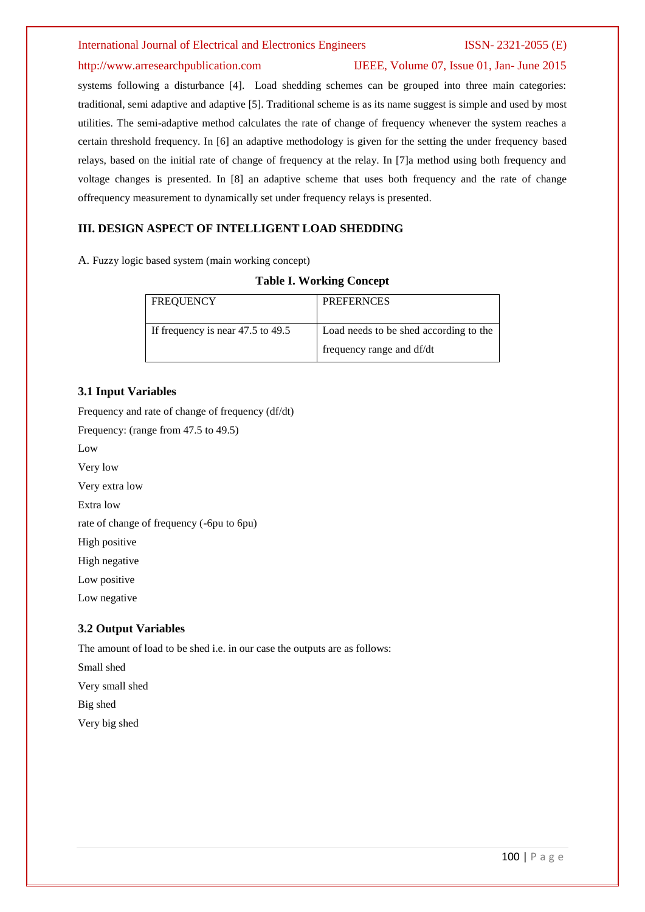# http://www.arresearchpublication.com IJEEE, Volume 07, Issue 01, Jan- June 2015

systems following a disturbance [4]. Load shedding schemes can be grouped into three main categories: traditional, semi adaptive and adaptive [5]. Traditional scheme is as its name suggest is simple and used by most utilities. The semi-adaptive method calculates the rate of change of frequency whenever the system reaches a certain threshold frequency. In [6] an adaptive methodology is given for the setting the under frequency based relays, based on the initial rate of change of frequency at the relay. In [7]a method using both frequency and voltage changes is presented. In [8] an adaptive scheme that uses both frequency and the rate of change offrequency measurement to dynamically set under frequency relays is presented.

# **III. DESIGN ASPECT OF INTELLIGENT LOAD SHEDDING**

A. Fuzzy logic based system (main working concept)

### **Table I. Working Concept**

| <b>FREQUENCY</b>                      | <b>PREFERNCES</b>                      |
|---------------------------------------|----------------------------------------|
| If frequency is near $47.5$ to $49.5$ | Load needs to be shed according to the |
|                                       | frequency range and df/dt              |

### **3.1 Input Variables**

Frequency and rate of change of frequency (df/dt) Frequency: (range from 47.5 to 49.5) Low Very low Very extra low Extra low rate of change of frequency (-6pu to 6pu)

High positive

High negative

Low positive

Low negative

# **3.2 Output Variables**

The amount of load to be shed i.e. in our case the outputs are as follows:

Small shed Very small shed

Big shed

Very big shed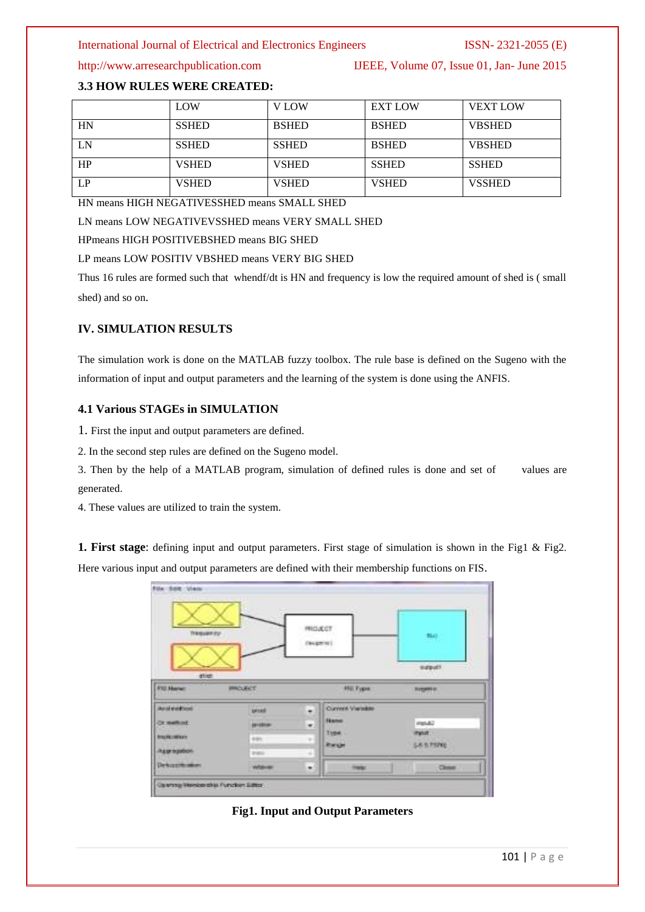http://www.arresearchpublication.com IJEEE, Volume 07, Issue 01, Jan- June 2015

# **3.3 HOW RULES WERE CREATED:**

|    | LOW          | V LOW        | <b>EXT LOW</b> | <b>VEXT LOW</b> |
|----|--------------|--------------|----------------|-----------------|
| HN | <b>SSHED</b> | <b>BSHED</b> | <b>BSHED</b>   | <b>VBSHED</b>   |
| LN | <b>SSHED</b> | <b>SSHED</b> | <b>BSHED</b>   | <b>VBSHED</b>   |
| HP | <b>VSHED</b> | <b>VSHED</b> | <b>SSHED</b>   | <b>SSHED</b>    |
| LP | <b>VSHED</b> | <b>VSHED</b> | <b>VSHED</b>   | <b>VSSHED</b>   |

HN means HIGH NEGATIVESSHED means SMALL SHED

LN means LOW NEGATIVEVSSHED means VERY SMALL SHED

HPmeans HIGH POSITIVEBSHED means BIG SHED

#### LP means LOW POSITIV VBSHED means VERY BIG SHED

Thus 16 rules are formed such that whendf/dt is HN and frequency is low the required amount of shed is ( small shed) and so on.

### **IV. SIMULATION RESULTS**

The simulation work is done on the MATLAB fuzzy toolbox. The rule base is defined on the Sugeno with the information of input and output parameters and the learning of the system is done using the ANFIS.

### **4.1 Various STAGEs in SIMULATION**

1. First the input and output parameters are defined.

2. In the second step rules are defined on the Sugeno model.

3. Then by the help of a MATLAB program, simulation of defined rules is done and set of values are generated.

4. These values are utilized to train the system.

**1. First stage**: defining input and output parameters. First stage of simulation is shown in the Fig1 & Fig2. Here various input and output parameters are defined with their membership functions on FIS.

| Trequency                       |                                     |        | <b>PROJECT</b><br><b>CHARTING</b>      | 55.43                       |
|---------------------------------|-------------------------------------|--------|----------------------------------------|-----------------------------|
| dilet.<br>$\sim$<br>FIG Harvey  | <b>PROJECT</b><br><b>CONTRACTOR</b> |        | 990 Fygon                              | suputf.<br>asserve          |
| <b>And end tool</b><br>Ot memor | <b>SPOAK</b><br>prodoze             | ۰<br>× | <b>Ourner/ Veradile</b><br><b>Hane</b> | <b>HIGHLE</b>               |
| <b>RIVER HENRY</b>              | <b>WIRDS</b>                        | $\sim$ | Time.<br><b>Ranger</b>                 | if what.<br><b>GRISTONE</b> |
| <b>INSURANCE REAL</b>           | <b>Braker</b>                       | a.     | ÷                                      |                             |

# **Fig1. Input and Output Parameters**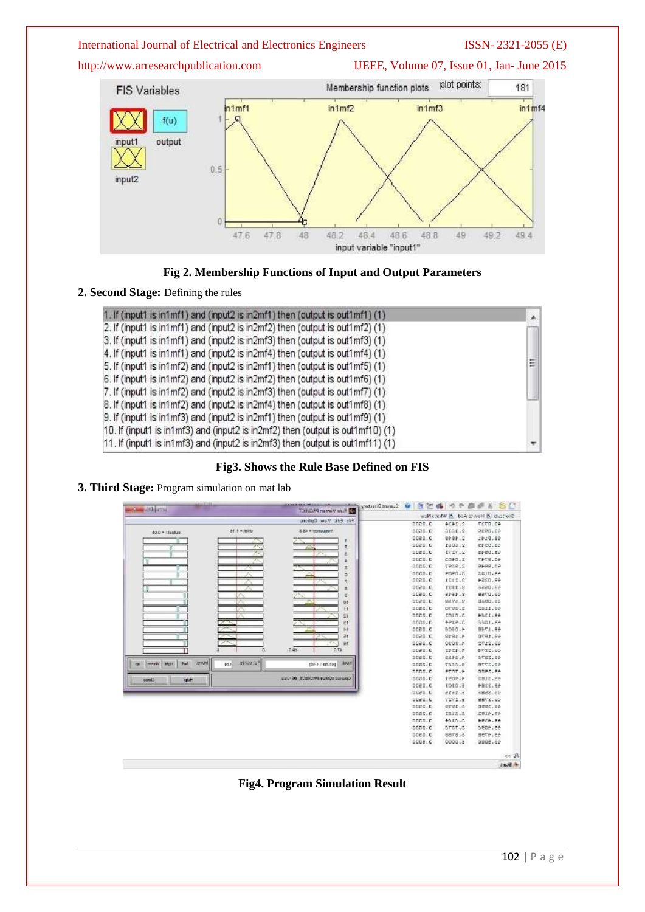http://www.arresearchpublication.com IJEEE, Volume 07, Issue 01, Jan- June 2015





# **2. Second Stage:** Defining the rules

| 1. If (input1 is in1mf1) and (input2 is in2mf1) then (output is out1mf1) (1)    | ۸Í |
|---------------------------------------------------------------------------------|----|
| 2. If (input1 is in1mf1) and (input2 is in2mf2) then (output is out1mf2) $(1)$  |    |
| 3. If (input1 is in1mf1) and (input2 is in2mf3) then (output is out1mf3) (1)    |    |
| 4. If (input1 is in1mf1) and (input2 is in2mf4) then (output is out1mf4) (1)    |    |
| 5. If (input1 is in1mf2) and (input2 is in2mf1) then (output is out1mf5) (1)    | E  |
| 6. If (input1 is in1mf2) and (input2 is in2mf2) then (output is out1mf6) (1)    |    |
| 7. If (input1 is in1mf2) and (input2 is in2mf3) then (output is out1mf7) (1)    |    |
| 8. If (input1 is in1mf2) and (input2 is in2mf4) then (output is out1mf8) (1)    |    |
| [9. If (input1 is in1mf3) and (input2 is in2mf1) then (output is out1mf9) (1)   |    |
| [10. If (input1 is in1mf3) and (input2 is in2mf2) then (output is out1mf10) (1) |    |
| 11. If (input1 is in1mf3) and (input2 is in2mf3) then (output is out1mf11) (1)  |    |







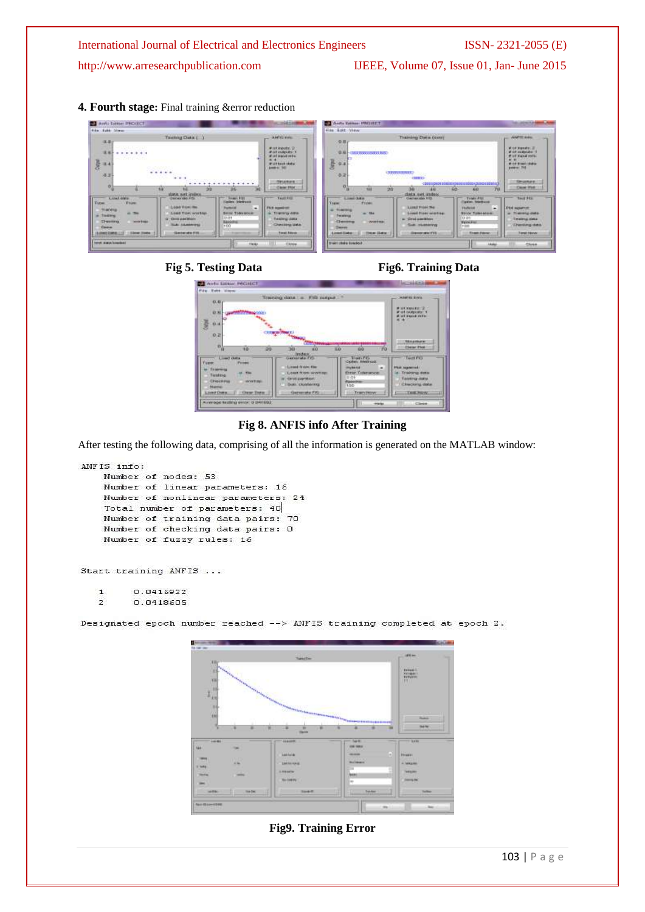http://www.arresearchpublication.com IJEEE, Volume 07, Issue 01, Jan- June 2015

**4. Fourth stage:** Final training &error reduction

| <b>B3</b> Annu Lotter PROJECT                                                                                                                                                                                                                                                                                                                                                                                          |                                                                                                                                                            | Ardia Editor: INCLIETT                                                                                                                                                                                                                      |                                                                                                                                                                                                                                                                                                                    | <b>Color contracts of American Actuals</b>                                                                                                                      |
|------------------------------------------------------------------------------------------------------------------------------------------------------------------------------------------------------------------------------------------------------------------------------------------------------------------------------------------------------------------------------------------------------------------------|------------------------------------------------------------------------------------------------------------------------------------------------------------|---------------------------------------------------------------------------------------------------------------------------------------------------------------------------------------------------------------------------------------------|--------------------------------------------------------------------------------------------------------------------------------------------------------------------------------------------------------------------------------------------------------------------------------------------------------------------|-----------------------------------------------------------------------------------------------------------------------------------------------------------------|
| Alder - Ralid: Alberta                                                                                                                                                                                                                                                                                                                                                                                                 |                                                                                                                                                            | File - Edit - View:                                                                                                                                                                                                                         |                                                                                                                                                                                                                                                                                                                    |                                                                                                                                                                 |
| Texting Data ( )<br>耳当に<br><b>WINDS ENDINGER</b><br><br>AN DISTRIBUTE<br>룘<br>0.47<br>ip unwept.<br>$-1444.$<br>0.3<br>$\cdots$<br>.                                                                                                                                                                                                                                                                                   | $-$ AM'ri con<br>-<br>#otkeets.p<br><b><i>But intends</i></b> 1<br>al ad aquistment<br>4.4.<br>Will took state<br><b>Load to: 1601</b><br><b>CONTACTOR</b> | (令)目(<br>. .<br>0.8<br><b>CREATIVE CONTRACT</b><br>100 M M M M M M<br>$\frac{1}{3}$ e.<br>(Thomas control)<br>9.7<br><b>CONTRACTOR COMMENTS</b>                                                                                             | Training Clata (doll)<br>CORRESPONDED TO BOOK RESIDENTS TO BOOK A SURFACE OF DISTING                                                                                                                                                                                                                               | AMTERIA<br>Work Handler, 20<br># of cutsular<br><b>Put yand mite</b><br>41.41<br>Write Break Maker<br><b>Entered 795</b><br>0.120.00<br><b>Structure</b>        |
| ×ь<br>ж<br>56<br><b>GRAK KAT TERRIAL</b><br>X cost-away<br>USEAVAN FOX<br><b>Carlos Editorial</b><br>Type:<br><b>Y</b> time<br>Load Non Re<br>-<br><b>STAKING</b><br>at the<br><b>Bettil Tidesprock</b><br>Load Trew, working<br>tages<br>10.01<br>.<br><b>CHICAMIENS</b><br>Chesting<br><b>DON'T BEER</b><br><b>BASKINE</b><br><b>NA ARMANDS</b><br>$+00$<br><b>Carera</b><br>LOWED ME<br><b>Classical ad at 7110</b> | CHAIRING<br>TAUX RIGHT<br><b>Florida in consumers</b><br>Travers' and a<br>Testing data<br>Chessing Lab<br><b>Travell Stevens</b>                          | n<br>$-0.05$<br>30<br><b>TELE</b><br>m<br><b>Limit Old a</b><br><b>Type:</b><br><b>TTIME</b><br>Transport<br><b>SALE STAR</b><br>Personnel<br>Cleanance<br><b>OWNER BAY</b><br><b>Contract</b><br><b>Longel Trade</b><br><b>Thear Ilaks</b> | <b>CO</b><br>30<br>60<br>data net innos<br><b>CHOWARD FIS</b><br>Treaty Pitt<br>Camero Mentional<br>Link2 Friday<br><b>FlyTored</b><br>Lisail Hoer wisener<br><b>Bryon Tubernoon</b><br>13, 24<br>a. Grid gamikhini<br><b>Banker</b><br>Guin miustervys<br>1.000<br><b>IDessenhale FSS</b><br><b>Theats Francy</b> | <b>JUDIER PH</b><br>76<br><b>TALE FEE</b><br><b><i>Doll Howman</i></b><br>an interesta data-<br><b>Testing data</b><br><b>Thenking data</b><br><b>Test Nova</b> |
| <b>Enrich Hollan Innovations</b><br><b>RAGAZ</b>                                                                                                                                                                                                                                                                                                                                                                       | EXHA                                                                                                                                                       | <b>Statt charge bunded</b>                                                                                                                                                                                                                  |                                                                                                                                                                                                                                                                                                                    | Akaku<br>Cluse.                                                                                                                                                 |







**Fig 8. ANFIS info After Training**

After testing the following data, comprising of all the information is generated on the MATLAB window:

```
ANFIS info:
Number of nodes: 53
Number of linear parameters: 16
Number of nonlinear parameters: 24
Total number of parameters: 40
Number of training data pairs: 70
Number of checking data pairs: 0
Number of fuzzy rules: 16
```
Start training ANFIS ...

 $\mathtt 1$ 0.0416922  $\overline{2}$ 0.0418605

Designated epoch number reached --> ANFIS training completed at epoch 2.



**Fig9. Training Error**